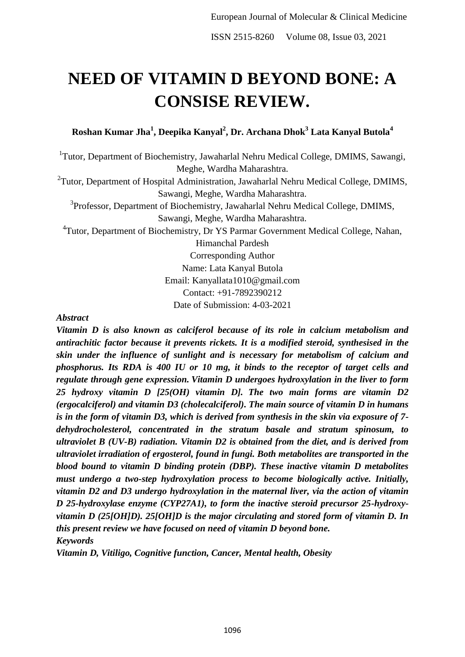# **NEED OF VITAMIN D BEYOND BONE: A CONSISE REVIEW.**

**Roshan Kumar Jha<sup>1</sup> , Deepika Kanyal<sup>2</sup> , Dr. Archana Dhok<sup>3</sup> Lata Kanyal Butola<sup>4</sup>**

<sup>1</sup>Tutor, Department of Biochemistry, Jawaharlal Nehru Medical College, DMIMS, Sawangi, Meghe, Wardha Maharashtra.

<sup>2</sup>Tutor, Department of Hospital Administration, Jawaharlal Nehru Medical College, DMIMS, Sawangi, Meghe, Wardha Maharashtra.

<sup>3</sup>Professor, Department of Biochemistry, Jawaharlal Nehru Medical College, DMIMS, Sawangi, Meghe, Wardha Maharashtra.

<sup>4</sup>Tutor, Department of Biochemistry, Dr YS Parmar Government Medical College, Nahan,

Himanchal Pardesh

Corresponding Author Name: Lata Kanyal Butola Email: Kanyallata1010@gmail.com Contact: +91-7892390212 Date of Submission: 4-03-2021

# *Abstract*

*Vitamin D is also known as calciferol because of its role in calcium metabolism and antirachitic factor because it prevents rickets. It is a modified steroid, synthesised in the skin under the influence of sunlight and is necessary for metabolism of calcium and phosphorus. Its RDA is 400 IU or 10 mg, it binds to the receptor of target cells and regulate through gene expression. Vitamin D undergoes hydroxylation in the liver to form 25 hydroxy vitamin D [25(OH) vitamin D]. The two main forms are vitamin D2 (ergocalciferol) and vitamin D3 (cholecalciferol). The main source of vitamin D in humans is in the form of vitamin D3, which is derived from synthesis in the skin via exposure of 7 dehydrocholesterol, concentrated in the stratum basale and stratum spinosum, to ultraviolet B (UV-B) radiation. Vitamin D2 is obtained from the diet, and is derived from ultraviolet irradiation of ergosterol, found in fungi. Both metabolites are transported in the blood bound to vitamin D binding protein (DBP). These inactive vitamin D metabolites must undergo a two-step hydroxylation process to become biologically active. Initially, vitamin D2 and D3 undergo hydroxylation in the maternal liver, via the action of vitamin D 25-hydroxylase enzyme (CYP27A1), to form the inactive steroid precursor 25-hydroxyvitamin D (25[OH]D). 25[OH]D is the major circulating and stored form of vitamin D. In this present review we have focused on need of vitamin D beyond bone. Keywords*

*Vitamin D, Vitiligo, Cognitive function, Cancer, Mental health, Obesity*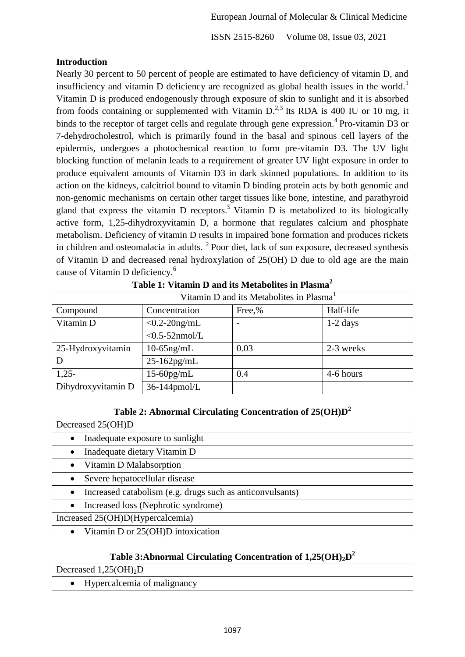## **Introduction**

Nearly 30 percent to 50 percent of people are estimated to have deficiency of vitamin D, and insufficiency and vitamin D deficiency are recognized as global health issues in the world.<sup>1</sup> Vitamin D is produced endogenously through exposure of skin to sunlight and it is absorbed from foods containing or supplemented with Vitamin  $D<sup>2,3</sup>$  Its RDA is 400 IU or 10 mg, it binds to the receptor of target cells and regulate through gene expression.<sup>4</sup> Pro-vitamin D3 or 7-dehydrocholestrol, which is primarily found in the basal and spinous cell layers of the epidermis, undergoes a photochemical reaction to form pre-vitamin D3. The UV light blocking function of melanin leads to a requirement of greater UV light exposure in order to produce equivalent amounts of Vitamin D3 in dark skinned populations. In addition to its action on the kidneys, calcitriol bound to vitamin D binding protein acts by both genomic and non-genomic mechanisms on certain other target tissues like bone, intestine, and parathyroid gland that express the vitamin D receptors.<sup>5</sup> Vitamin D is metabolized to its biologically active form, 1,25-dihydroxyvitamin D, a hormone that regulates calcium and phosphate metabolism. Deficiency of vitamin D results in impaired bone formation and produces rickets in children and osteomalacia in adults.  $2$  Poor diet, lack of sun exposure, decreased synthesis of Vitamin D and decreased renal hydroxylation of 25(OH) D due to old age are the main cause of Vitamin D deficiency.<sup>6</sup>

|                    | Vitamin D and its Metabolites in Plasma <sup>1</sup> |                          |            |
|--------------------|------------------------------------------------------|--------------------------|------------|
| Compound           | Concentration                                        | Free,%                   | Half-life  |
| Vitamin D          | $<$ 0.2-20ng/mL                                      | $\overline{\phantom{a}}$ | $1-2$ days |
|                    | $<$ 0.5-52nmol/L                                     |                          |            |
| 25-Hydroxyvitamin  | $10-65$ ng/mL                                        | 0.03                     | 2-3 weeks  |
| D                  | $25 - 162$ pg/mL                                     |                          |            |
| $1,25-$            | $15-60$ pg/mL                                        | 0.4                      | 4-6 hours  |
| Dihydroxyvitamin D | 36-144pmol/L                                         |                          |            |

**Table 1: Vitamin D and its Metabolites in Plasma<sup>2</sup>**

# **Table 2: Abnormal Circulating Concentration of 25(OH)D<sup>2</sup>**

| Decreased 25(OH)D                                                      |  |  |
|------------------------------------------------------------------------|--|--|
| Inadequate exposure to sunlight<br>$\bullet$                           |  |  |
| Inadequate dietary Vitamin D<br>$\bullet$                              |  |  |
| Vitamin D Malabsorption<br>$\bullet$                                   |  |  |
| Severe hepatocellular disease<br>$\bullet$                             |  |  |
| Increased catabolism (e.g. drugs such as anticonvulsants)<br>$\bullet$ |  |  |
| Increased loss (Nephrotic syndrome)<br>$\bullet$                       |  |  |
| Increased 25(OH)D(Hypercalcemia)                                       |  |  |
| Vitamin D or 25(OH)D intoxication                                      |  |  |

# **Table 3:Abnormal Circulating Concentration of 1,25(OH)2D 2**

• Hypercalcemia of malignancy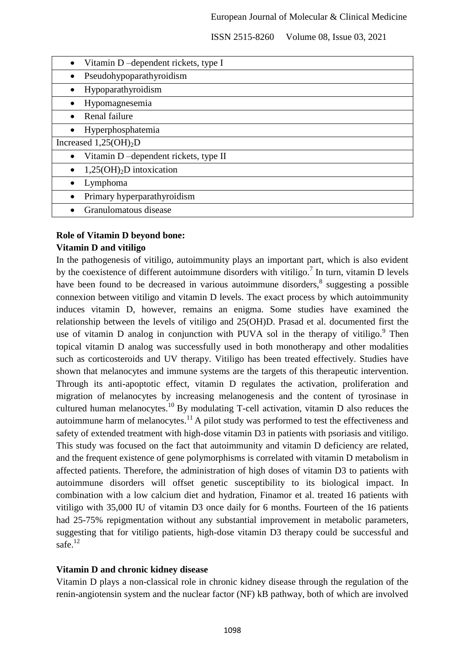|                           | Vitamin D-dependent rickets, type I  |
|---------------------------|--------------------------------------|
|                           | Pseudohypoparathyroidism             |
|                           | Hypoparathyroidism                   |
|                           | Hypomagnesemia                       |
| Renal failure             |                                      |
|                           | Hyperphosphatemia                    |
| Increased $1,25(OH)_{2}D$ |                                      |
|                           | Vitamin D-dependent rickets, type II |
|                           | $1,25(OH)2D$ intoxication            |
| Lymphoma                  |                                      |
|                           | Primary hyperparathyroidism          |
| Granulomatous disease     |                                      |
|                           |                                      |

### **Role of Vitamin D beyond bone:**

#### **Vitamin D and vitiligo**

In the pathogenesis of vitiligo, autoimmunity plays an important part, which is also evident by the coexistence of different autoimmune disorders with vitiligo.<sup>7</sup> In turn, vitamin D levels have been found to be decreased in various autoimmune disorders, $\delta$  suggesting a possible connexion between vitiligo and vitamin D levels. The exact process by which autoimmunity induces vitamin D, however, remains an enigma. Some studies have examined the relationship between the levels of vitiligo and 25(OH)D. Prasad et al. documented first the use of vitamin  $D$  analog in conjunction with PUVA sol in the therapy of vitiligo.<sup>9</sup> Then topical vitamin D analog was successfully used in both monotherapy and other modalities such as corticosteroids and UV therapy. Vitiligo has been treated effectively. Studies have shown that melanocytes and immune systems are the targets of this therapeutic intervention. Through its anti-apoptotic effect, vitamin D regulates the activation, proliferation and migration of melanocytes by increasing melanogenesis and the content of tyrosinase in cultured human melanocytes.<sup>10</sup> By modulating T-cell activation, vitamin D also reduces the autoimmune harm of melanocytes.<sup>11</sup> A pilot study was performed to test the effectiveness and safety of extended treatment with high-dose vitamin D3 in patients with psoriasis and vitiligo. This study was focused on the fact that autoimmunity and vitamin D deficiency are related, and the frequent existence of gene polymorphisms is correlated with vitamin D metabolism in affected patients. Therefore, the administration of high doses of vitamin D3 to patients with autoimmune disorders will offset genetic susceptibility to its biological impact. In combination with a low calcium diet and hydration, Finamor et al. treated 16 patients with vitiligo with 35,000 IU of vitamin D3 once daily for 6 months. Fourteen of the 16 patients had 25-75% repigmentation without any substantial improvement in metabolic parameters, suggesting that for vitiligo patients, high-dose vitamin D3 therapy could be successful and safe $^{12}$ 

#### **Vitamin D and chronic kidney disease**

Vitamin D plays a non-classical role in chronic kidney disease through the regulation of the renin-angiotensin system and the nuclear factor (NF) kB pathway, both of which are involved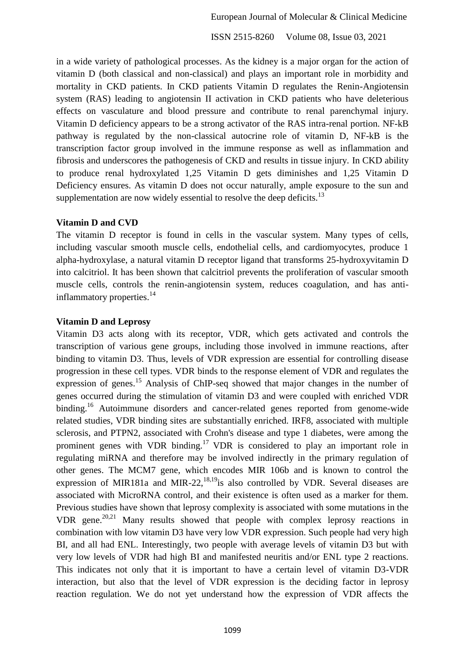in a wide variety of pathological processes. As the kidney is a major organ for the action of vitamin D (both classical and non-classical) and plays an important role in morbidity and mortality in CKD patients. In CKD patients Vitamin D regulates the Renin-Angiotensin system (RAS) leading to angiotensin II activation in CKD patients who have deleterious effects on vasculature and blood pressure and contribute to renal parenchymal injury. Vitamin D deficiency appears to be a strong activator of the RAS intra-renal portion. NF-kB pathway is regulated by the non-classical autocrine role of vitamin D, NF-kB is the transcription factor group involved in the immune response as well as inflammation and fibrosis and underscores the pathogenesis of CKD and results in tissue injury. In CKD ability to produce renal hydroxylated 1,25 Vitamin D gets diminishes and 1,25 Vitamin D Deficiency ensures. As vitamin D does not occur naturally, ample exposure to the sun and supplementation are now widely essential to resolve the deep deficits.<sup>13</sup>

#### **Vitamin D and CVD**

The vitamin D receptor is found in cells in the vascular system. Many types of cells, including vascular smooth muscle cells, endothelial cells, and cardiomyocytes, produce 1 alpha-hydroxylase, a natural vitamin D receptor ligand that transforms 25-hydroxyvitamin D into calcitriol. It has been shown that calcitriol prevents the proliferation of vascular smooth muscle cells, controls the renin-angiotensin system, reduces coagulation, and has antiinflammatory properties.<sup>14</sup>

#### **Vitamin D and Leprosy**

Vitamin D3 acts along with its receptor, VDR, which gets activated and controls the transcription of various gene groups, including those involved in immune reactions, after binding to vitamin D3. Thus, levels of VDR expression are essential for controlling disease progression in these cell types. VDR binds to the response element of VDR and regulates the expression of genes.<sup>15</sup> Analysis of ChIP-seq showed that major changes in the number of genes occurred during the stimulation of vitamin D3 and were coupled with enriched VDR binding.<sup>16</sup> Autoimmune disorders and cancer-related genes reported from genome-wide related studies, VDR binding sites are substantially enriched. IRF8, associated with multiple sclerosis, and PTPN2, associated with Crohn's disease and type 1 diabetes, were among the prominent genes with VDR binding.<sup>17</sup> VDR is considered to play an important role in regulating miRNA and therefore may be involved indirectly in the primary regulation of other genes. The MCM7 gene, which encodes MIR 106b and is known to control the expression of MIR181a and MIR-22,  $^{18,19}$  is also controlled by VDR. Several diseases are associated with MicroRNA control, and their existence is often used as a marker for them. Previous studies have shown that leprosy complexity is associated with some mutations in the VDR gene. 20,21 Many results showed that people with complex leprosy reactions in combination with low vitamin D3 have very low VDR expression. Such people had very high BI, and all had ENL. Interestingly, two people with average levels of vitamin D3 but with very low levels of VDR had high BI and manifested neuritis and/or ENL type 2 reactions. This indicates not only that it is important to have a certain level of vitamin D3-VDR interaction, but also that the level of VDR expression is the deciding factor in leprosy reaction regulation. We do not yet understand how the expression of VDR affects the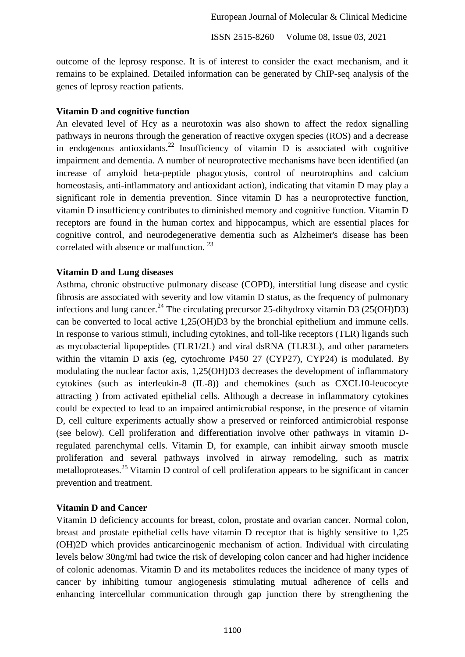outcome of the leprosy response. It is of interest to consider the exact mechanism, and it remains to be explained. Detailed information can be generated by ChIP-seq analysis of the genes of leprosy reaction patients.

#### **Vitamin D and cognitive function**

An elevated level of Hcy as a neurotoxin was also shown to affect the redox signalling pathways in neurons through the generation of reactive oxygen species (ROS) and a decrease in endogenous antioxidants.<sup>22</sup> Insufficiency of vitamin  $D$  is associated with cognitive impairment and dementia. A number of neuroprotective mechanisms have been identified (an increase of amyloid beta-peptide phagocytosis, control of neurotrophins and calcium homeostasis, anti-inflammatory and antioxidant action), indicating that vitamin D may play a significant role in dementia prevention. Since vitamin D has a neuroprotective function, vitamin D insufficiency contributes to diminished memory and cognitive function. Vitamin D receptors are found in the human cortex and hippocampus, which are essential places for cognitive control, and neurodegenerative dementia such as Alzheimer's disease has been correlated with absence or malfunction.<sup>23</sup>

#### **Vitamin D and Lung diseases**

Asthma, chronic obstructive pulmonary disease (COPD), interstitial lung disease and cystic fibrosis are associated with severity and low vitamin D status, as the frequency of pulmonary infections and lung cancer.<sup>24</sup> The circulating precursor 25-dihydroxy vitamin D3 (25(OH)D3) can be converted to local active 1,25(OH)D3 by the bronchial epithelium and immune cells. In response to various stimuli, including cytokines, and toll-like receptors (TLR) ligands such as mycobacterial lipopeptides (TLR1/2L) and viral dsRNA (TLR3L), and other parameters within the vitamin D axis (eg, cytochrome P450 27 (CYP27), CYP24) is modulated. By modulating the nuclear factor axis, 1,25(OH)D3 decreases the development of inflammatory cytokines (such as interleukin-8 (IL-8)) and chemokines (such as CXCL10-leucocyte attracting ) from activated epithelial cells. Although a decrease in inflammatory cytokines could be expected to lead to an impaired antimicrobial response, in the presence of vitamin D, cell culture experiments actually show a preserved or reinforced antimicrobial response (see below). Cell proliferation and differentiation involve other pathways in vitamin Dregulated parenchymal cells. Vitamin D, for example, can inhibit airway smooth muscle proliferation and several pathways involved in airway remodeling, such as matrix metalloproteases.<sup>25</sup> Vitamin D control of cell proliferation appears to be significant in cancer prevention and treatment.

#### **Vitamin D and Cancer**

Vitamin D deficiency accounts for breast, colon, prostate and ovarian cancer. Normal colon, breast and prostate epithelial cells have vitamin D receptor that is highly sensitive to 1,25 (OH)2D which provides anticarcinogenic mechanism of action. Individual with circulating levels below 30ng/ml had twice the risk of developing colon cancer and had higher incidence of colonic adenomas. Vitamin D and its metabolites reduces the incidence of many types of cancer by inhibiting tumour angiogenesis stimulating mutual adherence of cells and enhancing intercellular communication through gap junction there by strengthening the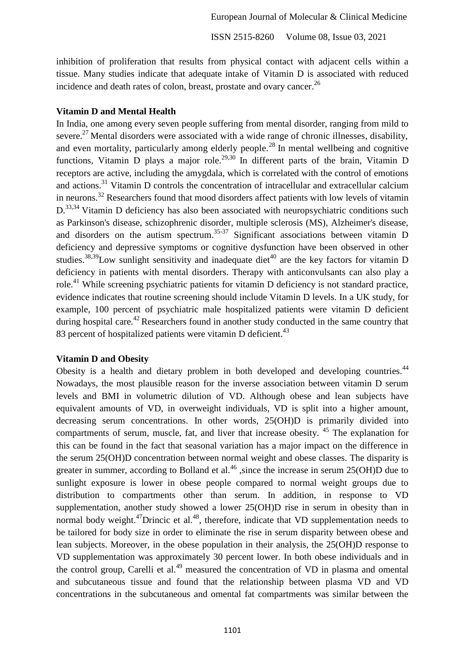inhibition of proliferation that results from physical contact with adjacent cells within a tissue. Many studies indicate that adequate intake of Vitamin D is associated with reduced incidence and death rates of colon, breast, prostate and ovary cancer.<sup>26</sup>

#### **Vitamin D and Mental Health**

In India, one among every seven people suffering from mental disorder, ranging from mild to severe.<sup>27</sup> Mental disorders were associated with a wide range of chronic illnesses, disability, and even mortality, particularly among elderly people.<sup>28</sup> In mental wellbeing and cognitive functions, Vitamin D plays a major role.<sup>29,30</sup> In different parts of the brain, Vitamin D receptors are active, including the amygdala, which is correlated with the control of emotions and actions. <sup>31</sup> Vitamin D controls the concentration of intracellular and extracellular calcium in neurons.<sup>32</sup> Researchers found that mood disorders affect patients with low levels of vitamin D.<sup>33,34</sup> Vitamin D deficiency has also been associated with neuropsychiatric conditions such as Parkinson's disease, schizophrenic disorder, multiple sclerosis (MS), Alzheimer's disease, and disorders on the autism spectrum.<sup>35-37</sup> Significant associations between vitamin  $D$ deficiency and depressive symptoms or cognitive dysfunction have been observed in other studies.<sup>38,39</sup>Low sunlight sensitivity and inadequate diet<sup>40</sup> are the key factors for vitamin D deficiency in patients with mental disorders. Therapy with anticonvulsants can also play a role.<sup>41</sup> While screening psychiatric patients for vitamin D deficiency is not standard practice, evidence indicates that routine screening should include Vitamin D levels. In a UK study, for example, 100 percent of psychiatric male hospitalized patients were vitamin D deficient during hospital care.<sup>42</sup> Researchers found in another study conducted in the same country that 83 percent of hospitalized patients were vitamin D deficient.<sup>43</sup>

#### **Vitamin D and Obesity**

Obesity is a health and dietary problem in both developed and developing countries.<sup>44</sup> Nowadays, the most plausible reason for the inverse association between vitamin D serum levels and BMI in volumetric dilution of VD. Although obese and lean subjects have equivalent amounts of VD, in overweight individuals, VD is split into a higher amount, decreasing serum concentrations. In other words, 25(OH)D is primarily divided into compartments of serum, muscle, fat, and liver that increase obesity. <sup>45</sup> The explanation for this can be found in the fact that seasonal variation has a major impact on the difference in the serum 25(OH)D concentration between normal weight and obese classes. The disparity is greater in summer, according to Bolland et al.<sup>46</sup>, since the increase in serum  $25(OH)D$  due to sunlight exposure is lower in obese people compared to normal weight groups due to distribution to compartments other than serum. In addition, in response to VD supplementation, another study showed a lower 25(OH)D rise in serum in obesity than in normal body weight.<sup>47</sup>Drincic et al.<sup>48</sup>, therefore, indicate that VD supplementation needs to be tailored for body size in order to eliminate the rise in serum disparity between obese and lean subjects. Moreover, in the obese population in their analysis, the 25(OH)D response to VD supplementation was approximately 30 percent lower. In both obese individuals and in the control group, Carelli et al.<sup>49</sup> measured the concentration of  $VD$  in plasma and omental and subcutaneous tissue and found that the relationship between plasma VD and VD concentrations in the subcutaneous and omental fat compartments was similar between the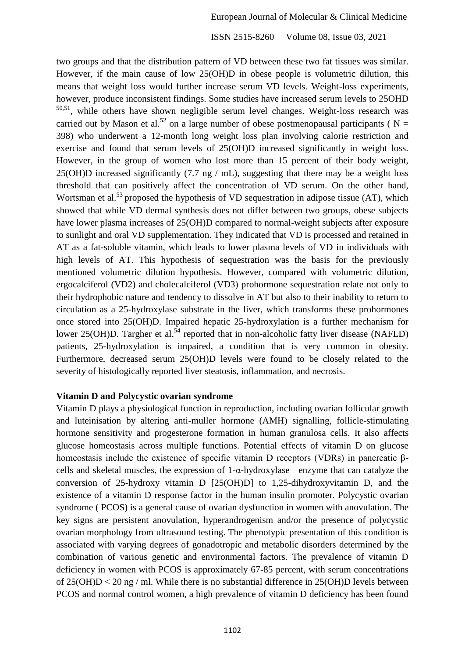two groups and that the distribution pattern of VD between these two fat tissues was similar. However, if the main cause of low 25(OH)D in obese people is volumetric dilution, this means that weight loss would further increase serum VD levels. Weight-loss experiments, however, produce inconsistent findings. Some studies have increased serum levels to 25OHD 50,51 , while others have shown negligible serum level changes. Weight-loss research was carried out by Mason et al.<sup>52</sup> on a large number of obese postmenopausal participants ( $N =$ 398) who underwent a 12-month long weight loss plan involving calorie restriction and exercise and found that serum levels of 25(OH)D increased significantly in weight loss. However, in the group of women who lost more than 15 percent of their body weight, 25(OH)D increased significantly (7.7 ng / mL), suggesting that there may be a weight loss threshold that can positively affect the concentration of VD serum. On the other hand, Wortsman et al.<sup>53</sup> proposed the hypothesis of VD sequestration in adipose tissue (AT), which showed that while VD dermal synthesis does not differ between two groups, obese subjects have lower plasma increases of 25(OH)D compared to normal-weight subjects after exposure to sunlight and oral VD supplementation. They indicated that VD is processed and retained in AT as a fat-soluble vitamin, which leads to lower plasma levels of VD in individuals with high levels of AT. This hypothesis of sequestration was the basis for the previously mentioned volumetric dilution hypothesis. However, compared with volumetric dilution, ergocalciferol (VD2) and cholecalciferol (VD3) prohormone sequestration relate not only to their hydrophobic nature and tendency to dissolve in AT but also to their inability to return to circulation as a 25-hydroxylase substrate in the liver, which transforms these prohormones once stored into 25(OH)D. Impaired hepatic 25-hydroxylation is a further mechanism for lower 25(OH)D. Targher et al.<sup>54</sup> reported that in non-alcoholic fatty liver disease (NAFLD) patients, 25-hydroxylation is impaired, a condition that is very common in obesity. Furthermore, decreased serum 25(OH)D levels were found to be closely related to the severity of histologically reported liver steatosis, inflammation, and necrosis.

#### **Vitamin D and Polycystic ovarian syndrome**

Vitamin D plays a physiological function in reproduction, including ovarian follicular growth and luteinisation by altering anti-muller hormone (AMH) signalling, follicle-stimulating hormone sensitivity and progesterone formation in human granulosa cells. It also affects glucose homeostasis across multiple functions. Potential effects of vitamin D on glucose homeostasis include the existence of specific vitamin D receptors (VDRs) in pancreatic βcells and skeletal muscles, the expression of 1-α-hydroxylase enzyme that can catalyze the conversion of 25-hydroxy vitamin D [25(OH)D] to 1,25-dihydroxyvitamin D, and the existence of a vitamin D response factor in the human insulin promoter. Polycystic ovarian syndrome ( PCOS) is a general cause of ovarian dysfunction in women with anovulation. The key signs are persistent anovulation, hyperandrogenism and/or the presence of polycystic ovarian morphology from ultrasound testing. The phenotypic presentation of this condition is associated with varying degrees of gonadotropic and metabolic disorders determined by the combination of various genetic and environmental factors. The prevalence of vitamin D deficiency in women with PCOS is approximately 67-85 percent, with serum concentrations of 25(OH)D < 20 ng / ml. While there is no substantial difference in 25(OH)D levels between PCOS and normal control women, a high prevalence of vitamin D deficiency has been found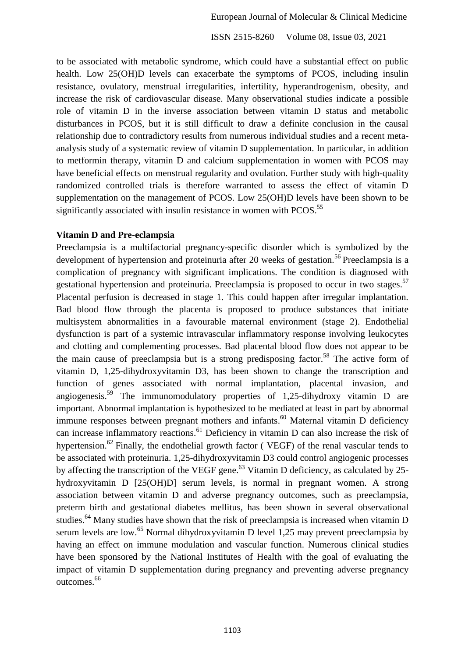to be associated with metabolic syndrome, which could have a substantial effect on public health. Low 25(OH)D levels can exacerbate the symptoms of PCOS, including insulin resistance, ovulatory, menstrual irregularities, infertility, hyperandrogenism, obesity, and increase the risk of cardiovascular disease. Many observational studies indicate a possible role of vitamin D in the inverse association between vitamin D status and metabolic disturbances in PCOS, but it is still difficult to draw a definite conclusion in the causal relationship due to contradictory results from numerous individual studies and a recent metaanalysis study of a systematic review of vitamin D supplementation. In particular, in addition to metformin therapy, vitamin D and calcium supplementation in women with PCOS may have beneficial effects on menstrual regularity and ovulation. Further study with high-quality randomized controlled trials is therefore warranted to assess the effect of vitamin D supplementation on the management of PCOS. Low 25(OH)D levels have been shown to be significantly associated with insulin resistance in women with PCOS.<sup>55</sup>

#### **Vitamin D and Pre-eclampsia**

Preeclampsia is a multifactorial pregnancy-specific disorder which is symbolized by the development of hypertension and proteinuria after 20 weeks of gestation.<sup>56</sup> Preeclampsia is a complication of pregnancy with significant implications. The condition is diagnosed with gestational hypertension and proteinuria. Preeclampsia is proposed to occur in two stages.<sup>57</sup> Placental perfusion is decreased in stage 1. This could happen after irregular implantation. Bad blood flow through the placenta is proposed to produce substances that initiate multisystem abnormalities in a favourable maternal environment (stage 2). Endothelial dysfunction is part of a systemic intravascular inflammatory response involving leukocytes and clotting and complementing processes. Bad placental blood flow does not appear to be the main cause of preeclampsia but is a strong predisposing factor.<sup>58</sup> The active form of vitamin D, 1,25-dihydroxyvitamin D3, has been shown to change the transcription and function of genes associated with normal implantation, placental invasion, and angiogenesis.<sup>59</sup> The immunomodulatory properties of 1,25-dihydroxy vitamin D are important. Abnormal implantation is hypothesized to be mediated at least in part by abnormal immune responses between pregnant mothers and infants.<sup>60</sup> Maternal vitamin D deficiency can increase inflammatory reactions.<sup>61</sup> Deficiency in vitamin D can also increase the risk of hypertension.<sup>62</sup> Finally, the endothelial growth factor (VEGF) of the renal vascular tends to be associated with proteinuria. 1,25-dihydroxyvitamin D3 could control angiogenic processes by affecting the transcription of the VEGF gene.<sup>63</sup> Vitamin D deficiency, as calculated by 25hydroxyvitamin D [25(OH)D] serum levels, is normal in pregnant women. A strong association between vitamin D and adverse pregnancy outcomes, such as preeclampsia, preterm birth and gestational diabetes mellitus, has been shown in several observational studies.<sup>64</sup> Many studies have shown that the risk of preeclampsia is increased when vitamin D serum levels are low.<sup>65</sup> Normal dihydroxyvitamin D level 1,25 may prevent preeclampsia by having an effect on immune modulation and vascular function. Numerous clinical studies have been sponsored by the National Institutes of Health with the goal of evaluating the impact of vitamin D supplementation during pregnancy and preventing adverse pregnancy outcomes.<sup>66</sup>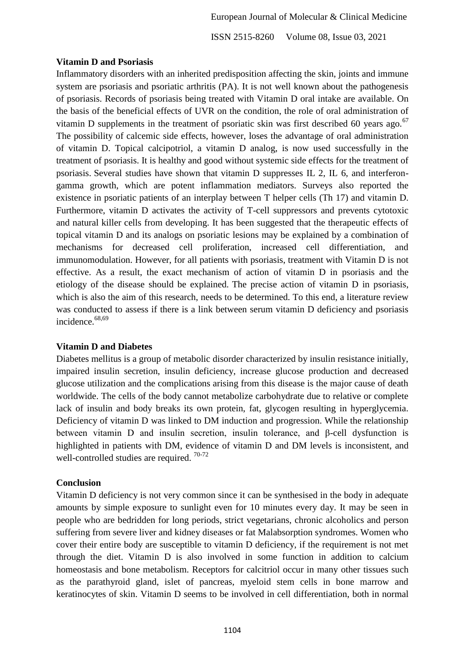#### **Vitamin D and Psoriasis**

Inflammatory disorders with an inherited predisposition affecting the skin, joints and immune system are psoriasis and psoriatic arthritis (PA). It is not well known about the pathogenesis of psoriasis. Records of psoriasis being treated with Vitamin D oral intake are available. On the basis of the beneficial effects of UVR on the condition, the role of oral administration of vitamin D supplements in the treatment of psoriatic skin was first described 60 years ago. $67$ The possibility of calcemic side effects, however, loses the advantage of oral administration of vitamin D. Topical calcipotriol, a vitamin D analog, is now used successfully in the treatment of psoriasis. It is healthy and good without systemic side effects for the treatment of psoriasis. Several studies have shown that vitamin D suppresses IL 2, IL 6, and interferongamma growth, which are potent inflammation mediators. Surveys also reported the existence in psoriatic patients of an interplay between T helper cells (Th 17) and vitamin D. Furthermore, vitamin D activates the activity of T-cell suppressors and prevents cytotoxic and natural killer cells from developing. It has been suggested that the therapeutic effects of topical vitamin D and its analogs on psoriatic lesions may be explained by a combination of mechanisms for decreased cell proliferation, increased cell differentiation, immunomodulation. However, for all patients with psoriasis, treatment with Vitamin D is not effective. As a result, the exact mechanism of action of vitamin D in psoriasis and the etiology of the disease should be explained. The precise action of vitamin D in psoriasis, which is also the aim of this research, needs to be determined. To this end, a literature review was conducted to assess if there is a link between serum vitamin D deficiency and psoriasis incidence.<sup>68,69</sup>

## **Vitamin D and Diabetes**

Diabetes mellitus is a group of metabolic disorder characterized by insulin resistance initially, impaired insulin secretion, insulin deficiency, increase glucose production and decreased glucose utilization and the complications arising from this disease is the major cause of death worldwide. The cells of the body cannot metabolize carbohydrate due to relative or complete lack of insulin and body breaks its own protein, fat, glycogen resulting in hyperglycemia. Deficiency of vitamin D was linked to DM induction and progression. While the relationship between vitamin D and insulin secretion, insulin tolerance, and β-cell dysfunction is highlighted in patients with DM, evidence of vitamin D and DM levels is inconsistent, and well-controlled studies are required.  $70-72$ 

#### **Conclusion**

Vitamin D deficiency is not very common since it can be synthesised in the body in adequate amounts by simple exposure to sunlight even for 10 minutes every day. It may be seen in people who are bedridden for long periods, strict vegetarians, chronic alcoholics and person suffering from severe liver and kidney diseases or fat Malabsorption syndromes. Women who cover their entire body are susceptible to vitamin D deficiency, if the requirement is not met through the diet. Vitamin D is also involved in some function in addition to calcium homeostasis and bone metabolism. Receptors for calcitriol occur in many other tissues such as the parathyroid gland, islet of pancreas, myeloid stem cells in bone marrow and keratinocytes of skin. Vitamin D seems to be involved in cell differentiation, both in normal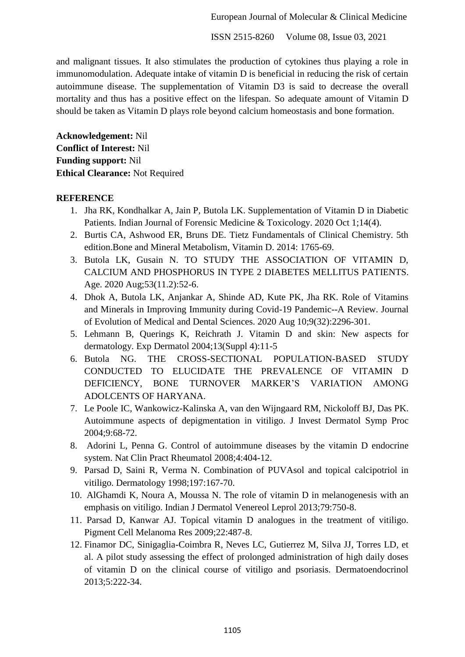European Journal of Molecular & Clinical Medicine

ISSN 2515-8260 Volume 08, Issue 03, 2021

and malignant tissues. It also stimulates the production of cytokines thus playing a role in immunomodulation. Adequate intake of vitamin D is beneficial in reducing the risk of certain autoimmune disease. The supplementation of Vitamin D3 is said to decrease the overall mortality and thus has a positive effect on the lifespan. So adequate amount of Vitamin D should be taken as Vitamin D plays role beyond calcium homeostasis and bone formation.

**Acknowledgement:** Nil **Conflict of Interest:** Nil **Funding support:** Nil **Ethical Clearance:** Not Required

#### **REFERENCE**

- 1. Jha RK, Kondhalkar A, Jain P, Butola LK. Supplementation of Vitamin D in Diabetic Patients. Indian Journal of Forensic Medicine & Toxicology. 2020 Oct 1;14(4).
- 2. Burtis CA, Ashwood ER, Bruns DE. Tietz Fundamentals of Clinical Chemistry. 5th edition.Bone and Mineral Metabolism, Vitamin D. 2014: 1765-69.
- 3. Butola LK, Gusain N. TO STUDY THE ASSOCIATION OF VITAMIN D, CALCIUM AND PHOSPHORUS IN TYPE 2 DIABETES MELLITUS PATIENTS. Age. 2020 Aug;53(11.2):52-6.
- 4. Dhok A, Butola LK, Anjankar A, Shinde AD, Kute PK, Jha RK. Role of Vitamins and Minerals in Improving Immunity during Covid-19 Pandemic--A Review. Journal of Evolution of Medical and Dental Sciences. 2020 Aug 10;9(32):2296-301.
- 5. Lehmann B, Querings K, Reichrath J. Vitamin D and skin: New aspects for dermatology. Exp Dermatol 2004;13(Suppl 4):11-5
- 6. Butola NG. THE CROSS-SECTIONAL POPULATION-BASED STUDY CONDUCTED TO ELUCIDATE THE PREVALENCE OF VITAMIN D DEFICIENCY, BONE TURNOVER MARKER'S VARIATION AMONG ADOLCENTS OF HARYANA.
- 7. Le Poole IC, Wankowicz-Kalinska A, van den Wijngaard RM, Nickoloff BJ, Das PK. Autoimmune aspects of depigmentation in vitiligo. J Invest Dermatol Symp Proc 2004;9:68-72.
- 8. Adorini L, Penna G. Control of autoimmune diseases by the vitamin D endocrine system. Nat Clin Pract Rheumatol 2008;4:404-12.
- 9. Parsad D, Saini R, Verma N. Combination of PUVAsol and topical calcipotriol in vitiligo. Dermatology 1998;197:167-70.
- 10. AlGhamdi K, Noura A, Moussa N. The role of vitamin D in melanogenesis with an emphasis on vitiligo. Indian J Dermatol Venereol Leprol 2013;79:750-8.
- 11. Parsad D, Kanwar AJ. Topical vitamin D analogues in the treatment of vitiligo. Pigment Cell Melanoma Res 2009;22:487-8.
- 12. Finamor DC, Sinigaglia-Coimbra R, Neves LC, Gutierrez M, Silva JJ, Torres LD, et al. A pilot study assessing the effect of prolonged administration of high daily doses of vitamin D on the clinical course of vitiligo and psoriasis. Dermatoendocrinol 2013;5:222-34.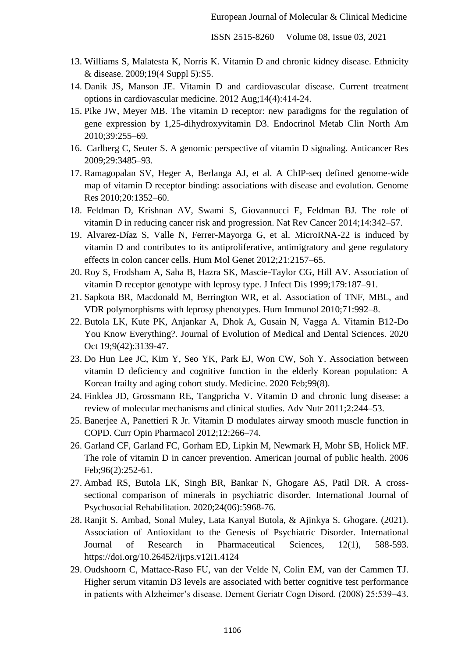- 13. Williams S, Malatesta K, Norris K. Vitamin D and chronic kidney disease. Ethnicity & disease. 2009;19(4 Suppl 5):S5.
- 14. Danik JS, Manson JE. Vitamin D and cardiovascular disease. Current treatment options in cardiovascular medicine. 2012 Aug;14(4):414-24.
- 15. Pike JW, Meyer MB. The vitamin D receptor: new paradigms for the regulation of gene expression by 1,25-dihydroxyvitamin D3. Endocrinol Metab Clin North Am 2010;39:255–69.
- 16. Carlberg C, Seuter S. A genomic perspective of vitamin D signaling. Anticancer Res 2009;29:3485–93.
- 17. Ramagopalan SV, Heger A, Berlanga AJ, et al. A ChIP-seq defined genome-wide map of vitamin D receptor binding: associations with disease and evolution. Genome Res 2010;20:1352–60.
- 18. Feldman D, Krishnan AV, Swami S, Giovannucci E, Feldman BJ. The role of vitamin D in reducing cancer risk and progression. Nat Rev Cancer 2014;14:342–57.
- 19. Alvarez-Díaz S, Valle N, Ferrer-Mayorga G, et al. MicroRNA-22 is induced by vitamin D and contributes to its antiproliferative, antimigratory and gene regulatory effects in colon cancer cells. Hum Mol Genet 2012;21:2157–65.
- 20. Roy S, Frodsham A, Saha B, Hazra SK, Mascie-Taylor CG, Hill AV. Association of vitamin D receptor genotype with leprosy type. J Infect Dis 1999;179:187–91.
- 21. Sapkota BR, Macdonald M, Berrington WR, et al. Association of TNF, MBL, and VDR polymorphisms with leprosy phenotypes. Hum Immunol 2010;71:992–8.
- 22. Butola LK, Kute PK, Anjankar A, Dhok A, Gusain N, Vagga A. Vitamin B12-Do You Know Everything?. Journal of Evolution of Medical and Dental Sciences. 2020 Oct 19;9(42):3139-47.
- 23. Do Hun Lee JC, Kim Y, Seo YK, Park EJ, Won CW, Soh Y. Association between vitamin D deficiency and cognitive function in the elderly Korean population: A Korean frailty and aging cohort study. Medicine. 2020 Feb;99(8).
- 24. Finklea JD, Grossmann RE, Tangpricha V. Vitamin D and chronic lung disease: a review of molecular mechanisms and clinical studies. Adv Nutr 2011;2:244–53.
- 25. Banerjee A, Panettieri R Jr. Vitamin D modulates airway smooth muscle function in COPD. Curr Opin Pharmacol 2012;12:266–74.
- 26. Garland CF, Garland FC, Gorham ED, Lipkin M, Newmark H, Mohr SB, Holick MF. The role of vitamin D in cancer prevention. American journal of public health. 2006 Feb;96(2):252-61.
- 27. Ambad RS, Butola LK, Singh BR, Bankar N, Ghogare AS, Patil DR. A crosssectional comparison of minerals in psychiatric disorder. International Journal of Psychosocial Rehabilitation. 2020;24(06):5968-76.
- 28. Ranjit S. Ambad, Sonal Muley, Lata Kanyal Butola, & Ajinkya S. Ghogare. (2021). Association of Antioxidant to the Genesis of Psychiatric Disorder. International Journal of Research in Pharmaceutical Sciences, 12(1), 588-593. https://doi.org/10.26452/ijrps.v12i1.4124
- 29. Oudshoorn C, Mattace-Raso FU, van der Velde N, Colin EM, van der Cammen TJ. Higher serum vitamin D3 levels are associated with better cognitive test performance in patients with Alzheimer's disease. Dement Geriatr Cogn Disord. (2008) 25:539–43.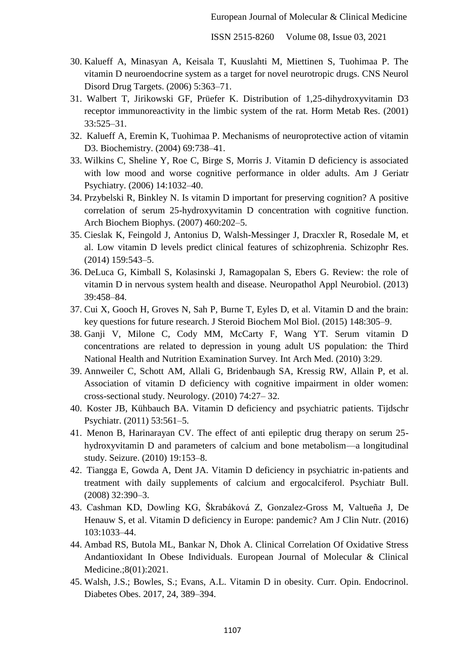- 30. Kalueff A, Minasyan A, Keisala T, Kuuslahti M, Miettinen S, Tuohimaa P. The vitamin D neuroendocrine system as a target for novel neurotropic drugs. CNS Neurol Disord Drug Targets. (2006) 5:363–71.
- 31. Walbert T, Jirikowski GF, Prüefer K. Distribution of 1,25-dihydroxyvitamin D3 receptor immunoreactivity in the limbic system of the rat. Horm Metab Res. (2001) 33:525–31.
- 32. Kalueff A, Eremin K, Tuohimaa P. Mechanisms of neuroprotective action of vitamin D3. Biochemistry. (2004) 69:738–41.
- 33. Wilkins C, Sheline Y, Roe C, Birge S, Morris J. Vitamin D deficiency is associated with low mood and worse cognitive performance in older adults. Am J Geriatr Psychiatry. (2006) 14:1032–40.
- 34. Przybelski R, Binkley N. Is vitamin D important for preserving cognition? A positive correlation of serum 25-hydroxyvitamin D concentration with cognitive function. Arch Biochem Biophys. (2007) 460:202–5.
- 35. Cieslak K, Feingold J, Antonius D, Walsh-Messinger J, Dracxler R, Rosedale M, et al. Low vitamin D levels predict clinical features of schizophrenia. Schizophr Res. (2014) 159:543–5.
- 36. DeLuca G, Kimball S, Kolasinski J, Ramagopalan S, Ebers G. Review: the role of vitamin D in nervous system health and disease. Neuropathol Appl Neurobiol. (2013) 39:458–84.
- 37. Cui X, Gooch H, Groves N, Sah P, Burne T, Eyles D, et al. Vitamin D and the brain: key questions for future research. J Steroid Biochem Mol Biol. (2015) 148:305–9.
- 38. Ganji V, Milone C, Cody MM, McCarty F, Wang YT. Serum vitamin D concentrations are related to depression in young adult US population: the Third National Health and Nutrition Examination Survey. Int Arch Med. (2010) 3:29.
- 39. Annweiler C, Schott AM, Allali G, Bridenbaugh SA, Kressig RW, Allain P, et al. Association of vitamin D deficiency with cognitive impairment in older women: cross-sectional study. Neurology. (2010) 74:27– 32.
- 40. Koster JB, Kühbauch BA. Vitamin D deficiency and psychiatric patients. Tijdschr Psychiatr. (2011) 53:561–5.
- 41. Menon B, Harinarayan CV. The effect of anti epileptic drug therapy on serum 25 hydroxyvitamin D and parameters of calcium and bone metabolism—a longitudinal study. Seizure. (2010) 19:153–8.
- 42. Tiangga E, Gowda A, Dent JA. Vitamin D deficiency in psychiatric in-patients and treatment with daily supplements of calcium and ergocalciferol. Psychiatr Bull. (2008) 32:390–3.
- 43. Cashman KD, Dowling KG, Škrabáková Z, Gonzalez-Gross M, Valtueña J, De Henauw S, et al. Vitamin D deficiency in Europe: pandemic? Am J Clin Nutr. (2016) 103:1033–44.
- 44. Ambad RS, Butola ML, Bankar N, Dhok A. Clinical Correlation Of Oxidative Stress Andantioxidant In Obese Individuals. European Journal of Molecular & Clinical Medicine.;8(01):2021.
- 45. Walsh, J.S.; Bowles, S.; Evans, A.L. Vitamin D in obesity. Curr. Opin. Endocrinol. Diabetes Obes. 2017, 24, 389–394.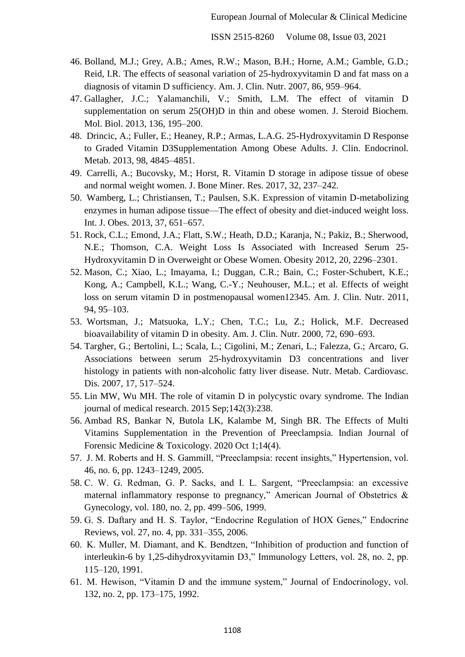- 46. Bolland, M.J.; Grey, A.B.; Ames, R.W.; Mason, B.H.; Horne, A.M.; Gamble, G.D.; Reid, I.R. The effects of seasonal variation of 25-hydroxyvitamin D and fat mass on a diagnosis of vitamin D sufficiency. Am. J. Clin. Nutr. 2007, 86, 959–964.
- 47. Gallagher, J.C.; Yalamanchili, V.; Smith, L.M. The effect of vitamin D supplementation on serum 25(OH)D in thin and obese women. J. Steroid Biochem. Mol. Biol. 2013, 136, 195–200.
- 48. Drincic, A.; Fuller, E.; Heaney, R.P.; Armas, L.A.G. 25-Hydroxyvitamin D Response to Graded Vitamin D3Supplementation Among Obese Adults. J. Clin. Endocrinol. Metab. 2013, 98, 4845–4851.
- 49. Carrelli, A.; Bucovsky, M.; Horst, R. Vitamin D storage in adipose tissue of obese and normal weight women. J. Bone Miner. Res. 2017, 32, 237–242.
- 50. Wamberg, L.; Christiansen, T.; Paulsen, S.K. Expression of vitamin D-metabolizing enzymes in human adipose tissue—The effect of obesity and diet-induced weight loss. Int. J. Obes. 2013, 37, 651–657.
- 51. Rock, C.L.; Emond, J.A.; Flatt, S.W.; Heath, D.D.; Karanja, N.; Pakiz, B.; Sherwood, N.E.; Thomson, C.A. Weight Loss Is Associated with Increased Serum 25- Hydroxyvitamin D in Overweight or Obese Women. Obesity 2012, 20, 2296–2301.
- 52. Mason, C.; Xiao, L.; Imayama, I.; Duggan, C.R.; Bain, C.; Foster-Schubert, K.E.; Kong, A.; Campbell, K.L.; Wang, C.-Y.; Neuhouser, M.L.; et al. Effects of weight loss on serum vitamin D in postmenopausal women12345. Am. J. Clin. Nutr. 2011, 94, 95–103.
- 53. Wortsman, J.; Matsuoka, L.Y.; Chen, T.C.; Lu, Z.; Holick, M.F. Decreased bioavailability of vitamin D in obesity. Am. J. Clin. Nutr. 2000, 72, 690–693.
- 54. Targher, G.; Bertolini, L.; Scala, L.; Cigolini, M.; Zenari, L.; Falezza, G.; Arcaro, G. Associations between serum 25-hydroxyvitamin D3 concentrations and liver histology in patients with non-alcoholic fatty liver disease. Nutr. Metab. Cardiovasc. Dis. 2007, 17, 517–524.
- 55. Lin MW, Wu MH. The role of vitamin D in polycystic ovary syndrome. The Indian journal of medical research. 2015 Sep;142(3):238.
- 56. Ambad RS, Bankar N, Butola LK, Kalambe M, Singh BR. The Effects of Multi Vitamins Supplementation in the Prevention of Preeclampsia. Indian Journal of Forensic Medicine & Toxicology. 2020 Oct 1;14(4).
- 57. J. M. Roberts and H. S. Gammill, "Preeclampsia: recent insights," Hypertension, vol. 46, no. 6, pp. 1243–1249, 2005.
- 58. C. W. G. Redman, G. P. Sacks, and I. L. Sargent, "Preeclampsia: an excessive maternal inflammatory response to pregnancy," American Journal of Obstetrics  $\&$ Gynecology, vol. 180, no. 2, pp. 499–506, 1999.
- 59. G. S. Daftary and H. S. Taylor, "Endocrine Regulation of HOX Genes," Endocrine Reviews, vol. 27, no. 4, pp. 331–355, 2006.
- 60. K. Muller, M. Diamant, and K. Bendtzen, "Inhibition of production and function of interleukin-6 by 1,25-dihydroxyvitamin D3," Immunology Letters, vol. 28, no. 2, pp. 115–120, 1991.
- 61. M. Hewison, "Vitamin D and the immune system," Journal of Endocrinology, vol. 132, no. 2, pp. 173–175, 1992.